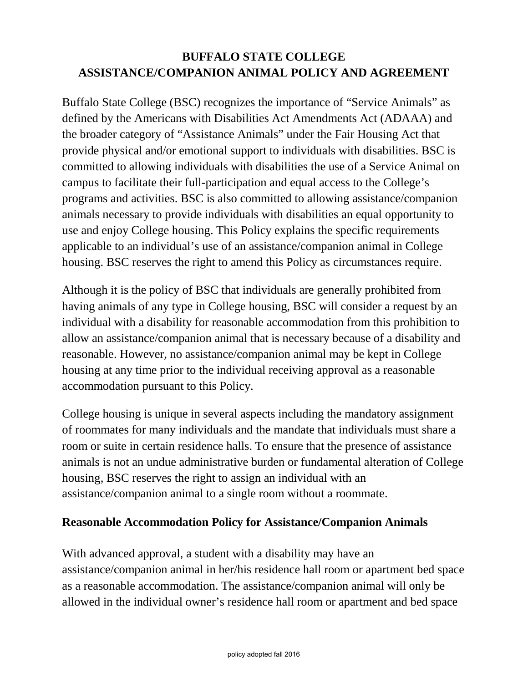# **BUFFALO STATE COLLEGE ASSISTANCE/COMPANION ANIMAL POLICY AND AGREEMENT**

Buffalo State College (BSC) recognizes the importance of "Service Animals" as defined by the Americans with Disabilities Act Amendments Act (ADAAA) and the broader category of "Assistance Animals" under the Fair Housing Act that provide physical and/or emotional support to individuals with disabilities. BSC is committed to allowing individuals with disabilities the use of a Service Animal on campus to facilitate their full-participation and equal access to the College's programs and activities. BSC is also committed to allowing assistance/companion animals necessary to provide individuals with disabilities an equal opportunity to use and enjoy College housing. This Policy explains the specific requirements applicable to an individual's use of an assistance/companion animal in College housing. BSC reserves the right to amend this Policy as circumstances require.

Although it is the policy of BSC that individuals are generally prohibited from having animals of any type in College housing, BSC will consider a request by an individual with a disability for reasonable accommodation from this prohibition to allow an assistance/companion animal that is necessary because of a disability and reasonable. However, no assistance/companion animal may be kept in College housing at any time prior to the individual receiving approval as a reasonable accommodation pursuant to this Policy.

College housing is unique in several aspects including the mandatory assignment of roommates for many individuals and the mandate that individuals must share a room or suite in certain residence halls. To ensure that the presence of assistance animals is not an undue administrative burden or fundamental alteration of College housing, BSC reserves the right to assign an individual with an assistance/companion animal to a single room without a roommate.

#### **Reasonable Accommodation Policy for Assistance/Companion Animals**

With advanced approval, a student with a disability may have an assistance/companion animal in her/his residence hall room or apartment bed space as a reasonable accommodation. The assistance/companion animal will only be allowed in the individual owner's residence hall room or apartment and bed space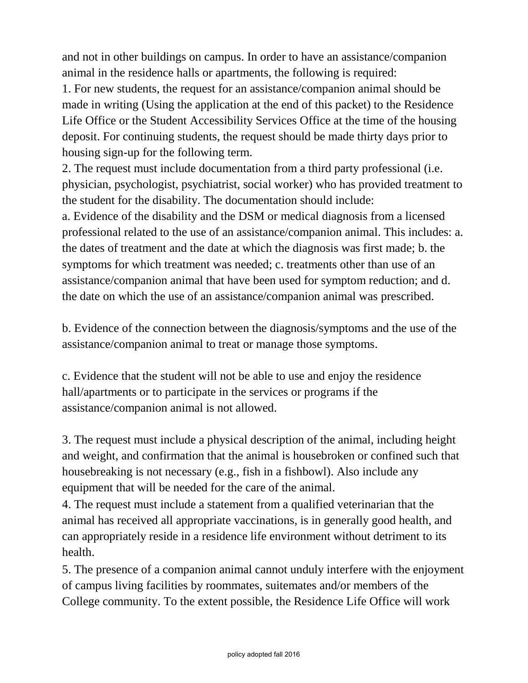and not in other buildings on campus. In order to have an assistance/companion animal in the residence halls or apartments, the following is required:

1. For new students, the request for an assistance/companion animal should be made in writing (Using the application at the end of this packet) to the Residence Life Office or the Student Accessibility Services Office at the time of the housing deposit. For continuing students, the request should be made thirty days prior to housing sign-up for the following term.

2. The request must include documentation from a third party professional (i.e. physician, psychologist, psychiatrist, social worker) who has provided treatment to the student for the disability. The documentation should include:

a. Evidence of the disability and the DSM or medical diagnosis from a licensed professional related to the use of an assistance/companion animal. This includes: a. the dates of treatment and the date at which the diagnosis was first made; b. the symptoms for which treatment was needed; c. treatments other than use of an assistance/companion animal that have been used for symptom reduction; and d. the date on which the use of an assistance/companion animal was prescribed.

b. Evidence of the connection between the diagnosis/symptoms and the use of the assistance/companion animal to treat or manage those symptoms.

c. Evidence that the student will not be able to use and enjoy the residence hall/apartments or to participate in the services or programs if the assistance/companion animal is not allowed.

3. The request must include a physical description of the animal, including height and weight, and confirmation that the animal is housebroken or confined such that housebreaking is not necessary (e.g., fish in a fishbowl). Also include any equipment that will be needed for the care of the animal.

4. The request must include a statement from a qualified veterinarian that the animal has received all appropriate vaccinations, is in generally good health, and can appropriately reside in a residence life environment without detriment to its health.

5. The presence of a companion animal cannot unduly interfere with the enjoyment of campus living facilities by roommates, suitemates and/or members of the College community. To the extent possible, the Residence Life Office will work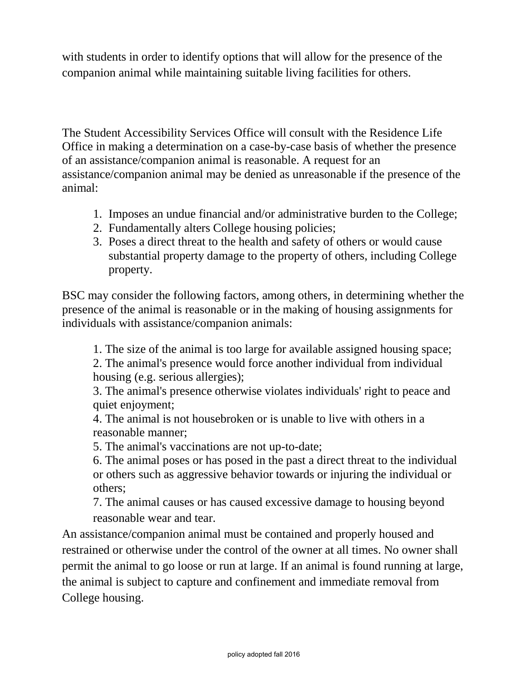with students in order to identify options that will allow for the presence of the companion animal while maintaining suitable living facilities for others.

The Student Accessibility Services Office will consult with the Residence Life Office in making a determination on a case-by-case basis of whether the presence of an assistance/companion animal is reasonable. A request for an assistance/companion animal may be denied as unreasonable if the presence of the animal:

- 1. Imposes an undue financial and/or administrative burden to the College;
- 2. Fundamentally alters College housing policies;
- 3. Poses a direct threat to the health and safety of others or would cause substantial property damage to the property of others, including College property.

BSC may consider the following factors, among others, in determining whether the presence of the animal is reasonable or in the making of housing assignments for individuals with assistance/companion animals:

1. The size of the animal is too large for available assigned housing space;

2. The animal's presence would force another individual from individual housing (e.g. serious allergies);

3. The animal's presence otherwise violates individuals' right to peace and quiet enjoyment;

4. The animal is not housebroken or is unable to live with others in a reasonable manner;

5. The animal's vaccinations are not up-to-date;

6. The animal poses or has posed in the past a direct threat to the individual or others such as aggressive behavior towards or injuring the individual or others;

7. The animal causes or has caused excessive damage to housing beyond reasonable wear and tear.

An assistance/companion animal must be contained and properly housed and restrained or otherwise under the control of the owner at all times. No owner shall permit the animal to go loose or run at large. If an animal is found running at large, the animal is subject to capture and confinement and immediate removal from College housing.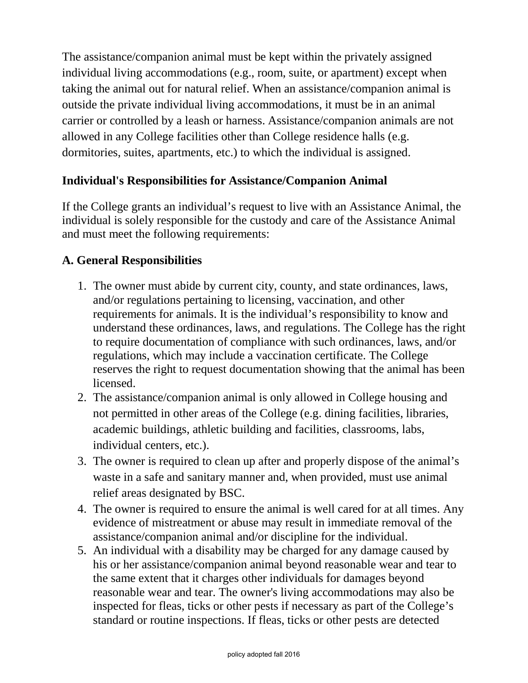The assistance/companion animal must be kept within the privately assigned individual living accommodations (e.g., room, suite, or apartment) except when taking the animal out for natural relief. When an assistance/companion animal is outside the private individual living accommodations, it must be in an animal carrier or controlled by a leash or harness. Assistance/companion animals are not allowed in any College facilities other than College residence halls (e.g. dormitories, suites, apartments, etc.) to which the individual is assigned.

### **Individual's Responsibilities for Assistance/Companion Animal**

If the College grants an individual's request to live with an Assistance Animal, the individual is solely responsible for the custody and care of the Assistance Animal and must meet the following requirements:

### **A. General Responsibilities**

- 1. The owner must abide by current city, county, and state ordinances, laws, and/or regulations pertaining to licensing, vaccination, and other requirements for animals. It is the individual's responsibility to know and understand these ordinances, laws, and regulations. The College has the right to require documentation of compliance with such ordinances, laws, and/or regulations, which may include a vaccination certificate. The College reserves the right to request documentation showing that the animal has been licensed.
- 2. The assistance/companion animal is only allowed in College housing and not permitted in other areas of the College (e.g. dining facilities, libraries, academic buildings, athletic building and facilities, classrooms, labs, individual centers, etc.).
- 3. The owner is required to clean up after and properly dispose of the animal's waste in a safe and sanitary manner and, when provided, must use animal relief areas designated by BSC.
- 4. The owner is required to ensure the animal is well cared for at all times. Any evidence of mistreatment or abuse may result in immediate removal of the assistance/companion animal and/or discipline for the individual.
- 5. An individual with a disability may be charged for any damage caused by his or her assistance/companion animal beyond reasonable wear and tear to the same extent that it charges other individuals for damages beyond reasonable wear and tear. The owner's living accommodations may also be inspected for fleas, ticks or other pests if necessary as part of the College's standard or routine inspections. If fleas, ticks or other pests are detected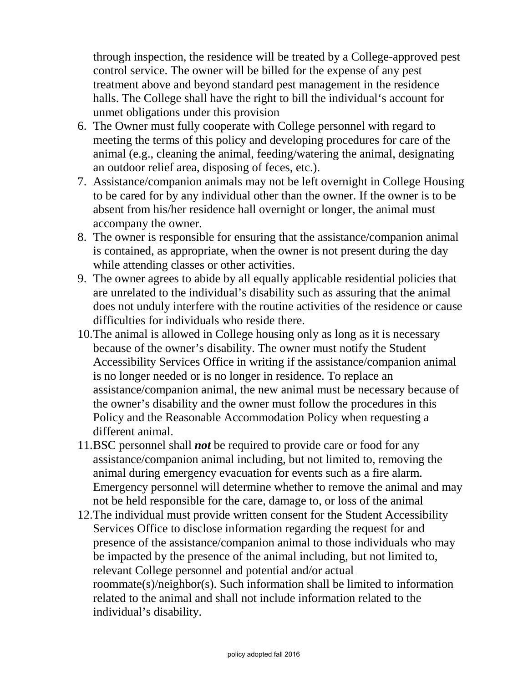through inspection, the residence will be treated by a College-approved pest control service. The owner will be billed for the expense of any pest treatment above and beyond standard pest management in the residence halls. The College shall have the right to bill the individual's account for unmet obligations under this provision

- 6. The Owner must fully cooperate with College personnel with regard to meeting the terms of this policy and developing procedures for care of the animal (e.g., cleaning the animal, feeding/watering the animal, designating an outdoor relief area, disposing of feces, etc.).
- 7. Assistance/companion animals may not be left overnight in College Housing to be cared for by any individual other than the owner. If the owner is to be absent from his/her residence hall overnight or longer, the animal must accompany the owner.
- 8. The owner is responsible for ensuring that the assistance/companion animal is contained, as appropriate, when the owner is not present during the day while attending classes or other activities.
- 9. The owner agrees to abide by all equally applicable residential policies that are unrelated to the individual's disability such as assuring that the animal does not unduly interfere with the routine activities of the residence or cause difficulties for individuals who reside there.
- 10.The animal is allowed in College housing only as long as it is necessary because of the owner's disability. The owner must notify the Student Accessibility Services Office in writing if the assistance/companion animal is no longer needed or is no longer in residence. To replace an assistance/companion animal, the new animal must be necessary because of the owner's disability and the owner must follow the procedures in this Policy and the Reasonable Accommodation Policy when requesting a different animal.
- 11.BSC personnel shall *not* be required to provide care or food for any assistance/companion animal including, but not limited to, removing the animal during emergency evacuation for events such as a fire alarm. Emergency personnel will determine whether to remove the animal and may not be held responsible for the care, damage to, or loss of the animal
- 12.The individual must provide written consent for the Student Accessibility Services Office to disclose information regarding the request for and presence of the assistance/companion animal to those individuals who may be impacted by the presence of the animal including, but not limited to, relevant College personnel and potential and/or actual roommate(s)/neighbor(s). Such information shall be limited to information related to the animal and shall not include information related to the individual's disability.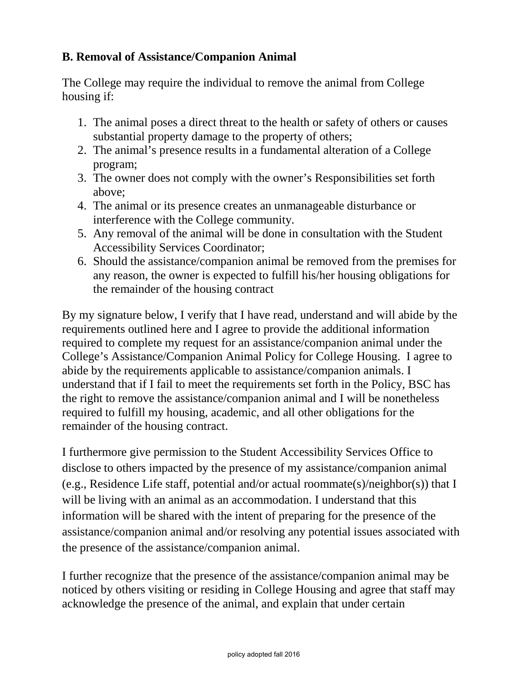## **B. Removal of Assistance/Companion Animal**

The College may require the individual to remove the animal from College housing if:

- 1. The animal poses a direct threat to the health or safety of others or causes substantial property damage to the property of others;
- 2. The animal's presence results in a fundamental alteration of a College program;
- 3. The owner does not comply with the owner's Responsibilities set forth above;
- 4. The animal or its presence creates an unmanageable disturbance or interference with the College community.
- 5. Any removal of the animal will be done in consultation with the Student Accessibility Services Coordinator;
- 6. Should the assistance/companion animal be removed from the premises for any reason, the owner is expected to fulfill his/her housing obligations for the remainder of the housing contract

By my signature below, I verify that I have read, understand and will abide by the requirements outlined here and I agree to provide the additional information required to complete my request for an assistance/companion animal under the College's Assistance/Companion Animal Policy for College Housing. I agree to abide by the requirements applicable to assistance/companion animals. I understand that if I fail to meet the requirements set forth in the Policy, BSC has the right to remove the assistance/companion animal and I will be nonetheless required to fulfill my housing, academic, and all other obligations for the remainder of the housing contract.

I furthermore give permission to the Student Accessibility Services Office to disclose to others impacted by the presence of my assistance/companion animal (e.g., Residence Life staff, potential and/or actual roommate(s)/neighbor(s)) that I will be living with an animal as an accommodation. I understand that this information will be shared with the intent of preparing for the presence of the assistance/companion animal and/or resolving any potential issues associated with the presence of the assistance/companion animal.

I further recognize that the presence of the assistance/companion animal may be noticed by others visiting or residing in College Housing and agree that staff may acknowledge the presence of the animal, and explain that under certain